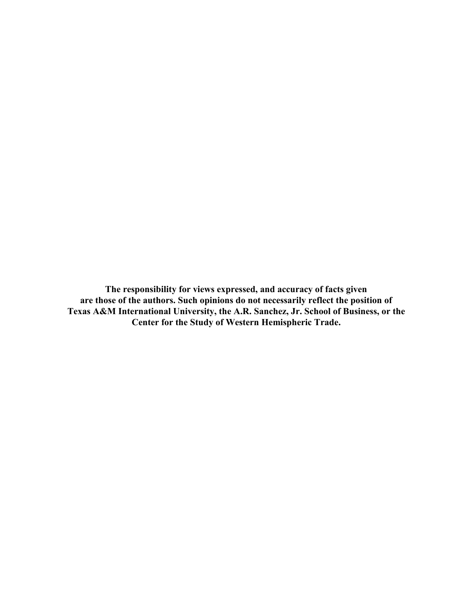**The responsibility for views expressed, and accuracy of facts given are those of the authors. Such opinions do not necessarily reflect the position of Texas A&M International University, the A.R. Sanchez, Jr. School of Business, or the Center for the Study of Western Hemispheric Trade.**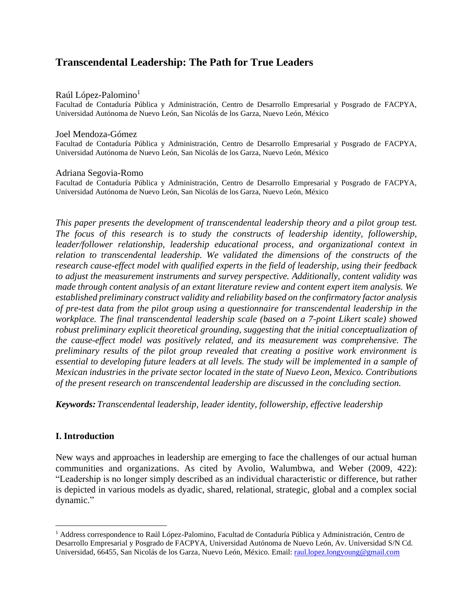# **Transcendental Leadership: The Path for True Leaders**

### Raúl López-Palomino<sup>1</sup>

Facultad de Contaduría Pública y Administración, Centro de Desarrollo Empresarial y Posgrado de FACPYA, Universidad Autónoma de Nuevo León, San Nicolás de los Garza, Nuevo León, México

## Joel Mendoza-Gómez

Facultad de Contaduría Pública y Administración, Centro de Desarrollo Empresarial y Posgrado de FACPYA, Universidad Autónoma de Nuevo León, San Nicolás de los Garza, Nuevo León, México

### Adriana Segovia-Romo

Facultad de Contaduría Pública y Administración, Centro de Desarrollo Empresarial y Posgrado de FACPYA, Universidad Autónoma de Nuevo León, San Nicolás de los Garza, Nuevo León, México

*This paper presents the development of transcendental leadership theory and a pilot group test. The focus of this research is to study the constructs of leadership identity, followership, leader/follower relationship, leadership educational process, and organizational context in relation to transcendental leadership. We validated the dimensions of the constructs of the research cause-effect model with qualified experts in the field of leadership, using their feedback to adjust the measurement instruments and survey perspective. Additionally, content validity was made through content analysis of an extant literature review and content expert item analysis. We established preliminary construct validity and reliability based on the confirmatory factor analysis of pre-test data from the pilot group using a questionnaire for transcendental leadership in the workplace. The final transcendental leadership scale (based on a 7-point Likert scale) showed robust preliminary explicit theoretical grounding, suggesting that the initial conceptualization of the cause-effect model was positively related, and its measurement was comprehensive. The preliminary results of the pilot group revealed that creating a positive work environment is essential to developing future leaders at all levels. The study will be implemented in a sample of Mexican industries in the private sector located in the state of Nuevo Leon, Mexico. Contributions of the present research on transcendental leadership are discussed in the concluding section.*

*Keywords: Transcendental leadership, leader identity, followership, effective leadership*

# **I. Introduction**

New ways and approaches in leadership are emerging to face the challenges of our actual human communities and organizations. As cited by Avolio, Walumbwa, and Weber (2009, 422): "Leadership is no longer simply described as an individual characteristic or difference, but rather is depicted in various models as dyadic, shared, relational, strategic, global and a complex social dynamic."

<sup>&</sup>lt;sup>1</sup> Address correspondence to Raúl López-Palomino, Facultad de Contaduría Pública y Administración, Centro de Desarrollo Empresarial y Posgrado de FACPYA, Universidad Autónoma de Nuevo León, Av. Universidad S/N Cd. Universidad, 66455, San Nicolás de los Garza, Nuevo León, México. Email: [raul.lopez.longyoung@gmail.com](mailto:raul.lopez.longyoung@gmail.com)